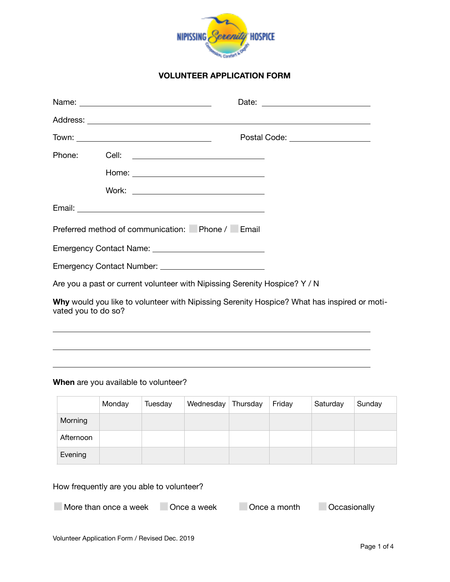

## **VOLUNTEER APPLICATION FORM**

|  | Postal Code: __________________                                            |
|--|----------------------------------------------------------------------------|
|  |                                                                            |
|  |                                                                            |
|  |                                                                            |
|  |                                                                            |
|  | Preferred method of communication: Phone / Email                           |
|  |                                                                            |
|  |                                                                            |
|  | Are you a past or current volunteer with Nipissing Serenity Hospice? Y / N |
|  |                                                                            |

**Why** would you like to volunteer with Nipissing Serenity Hospice? What has inspired or motivated you to do so?

<u> 1989 - Johann Stoff, deutscher Stoffen und der Stoffen und der Stoffen und der Stoffen und der Stoffen und de</u>

### **When** are you available to volunteer?

|           | Monday | Tuesday | Wednesday | Thursday | Friday | Saturday | Sunday |
|-----------|--------|---------|-----------|----------|--------|----------|--------|
| Morning   |        |         |           |          |        |          |        |
| Afternoon |        |         |           |          |        |          |        |
| Evening   |        |         |           |          |        |          |        |

# How frequently are you able to volunteer?

**□ More than once a week □ Once a week □ Once a month** □ Occasionally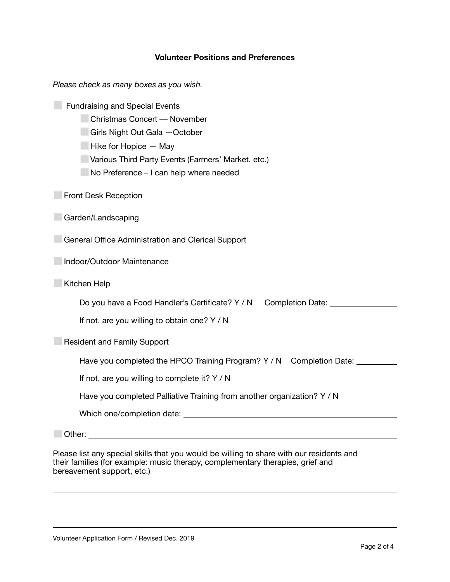# **Volunteer Positions and Preferences**

| Please check as many boxes as you wish.                                                                                                                                                                                                  |
|------------------------------------------------------------------------------------------------------------------------------------------------------------------------------------------------------------------------------------------|
| <b>Fundraising and Special Events</b><br><b>Christmas Concert - November</b><br>Girls Night Out Gala - October<br>Hike for Hopice - May<br>Various Third Party Events (Farmers' Market, etc.)<br>No Preference - I can help where needed |
| <b>Front Desk Reception</b>                                                                                                                                                                                                              |
| Garden/Landscaping                                                                                                                                                                                                                       |
| General Office Administration and Clerical Support                                                                                                                                                                                       |
| Indoor/Outdoor Maintenance                                                                                                                                                                                                               |
| Kitchen Help                                                                                                                                                                                                                             |
| Do you have a Food Handler's Certificate? Y / N<br>Completion Date: Network of Completion Date:<br>If not, are you willing to obtain one? Y / N                                                                                          |
| <b>Resident and Family Support</b>                                                                                                                                                                                                       |
| Have you completed the HPCO Training Program? Y / N Completion Date: __________                                                                                                                                                          |
| If not, are you willing to complete it? Y / N                                                                                                                                                                                            |
| Have you completed Palliative Training from another organization? Y / N                                                                                                                                                                  |
|                                                                                                                                                                                                                                          |
| Other:<br><u> 1980 - Johann Stein, marwolaethau a bhann an t-Amhair ann an t-Amhair an t-Amhair an t-Amhair an t-Amhair an</u>                                                                                                           |

Please list any special skills that you would be willing to share with our residents and their families (for example: music therapy, complementary therapies, grief and bereavement support, etc.)

<u> 1989 - Andrea Santa Alemania, amerikana amerikana amerikana amerikana amerikana amerikana amerikana amerikan</u>

<u> 1989 - Andrea Santa Alemania, amerikana amerikana amerikana amerikana amerikana amerikana amerikana amerikan</u>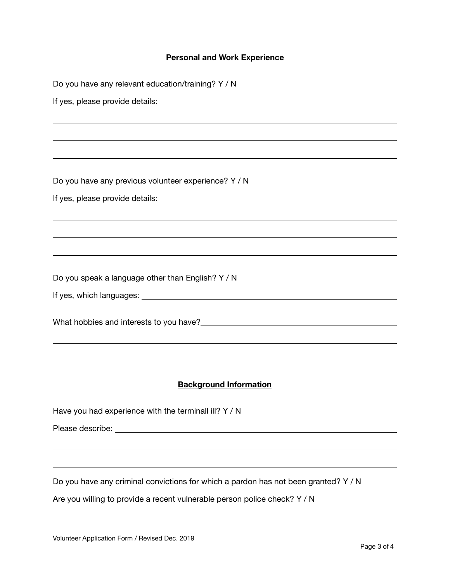### **Personal and Work Experience**

Do you have any relevant education/training? Y / N If yes, please provide details: <u> 1989 - Andrea Santa Andrea Santa Andrea Santa Andrea Santa Andrea Santa Andrea Santa Andrea Santa Andrea San</u> <u> 1980 - Andrea Station Andrea Station (m. 1980)</u> Do you have any previous volunteer experience? Y / N If yes, please provide details: <u> 1980 - Andrea Station Andrea Station (m. 1980)</u> Do you speak a language other than English? Y / N If yes, which languages: What hobbies and interests to you have? <u> 1989 - Andrea Santa Andrea Santa Andrea Santa Andrea Santa Andrea Santa Andrea Santa Andrea Santa Andrea San</u> **Background Information** Have you had experience with the terminall ill? Y / N Please describe: <u> 1989 - Johann Stein, marwolaethau a bhaile an t-Alban ann an t-Alban an t-Alban an t-Alban an t-Alban an t-Al</u>

Do you have any criminal convictions for which a pardon has not been granted? Y / N

 

Are you willing to provide a recent vulnerable person police check? Y / N